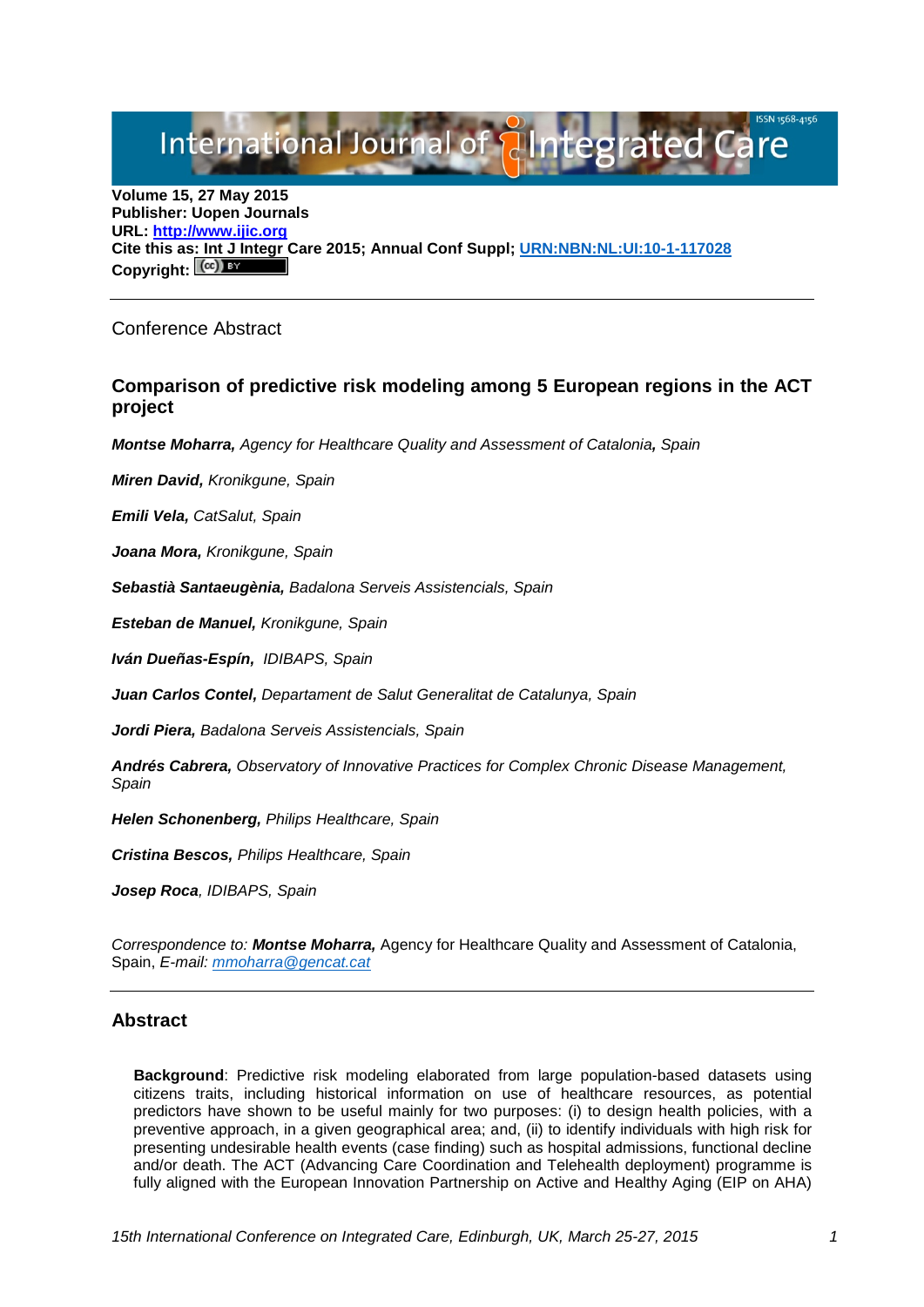# International Journal of alntegrated Care

**Volume 15, 27 May 2015 Publisher: Uopen Journals URL: [http://www.ijic.org](http://www.ijic.org/) Cite this a[s: Int J Integr](http://creativecommons.org/licenses/by/3.0/) Care 2015; Annual Conf Suppl; [URN:NBN:NL:UI:10-1-117028](http://persistent-identifier.nl/?identifier=URN:NBN:NL:UI:10-1-117028)** Copyright:  $(C^c)$ 

Conference Abstract

## **Comparison of predictive risk modeling among 5 European regions in the ACT project**

*Montse Moharra, Agency for Healthcare Quality and Assessment of Catalonia, Spain*

*Miren David, Kronikgune, Spain*

*Emili Vela, CatSalut, Spain*

*Joana Mora, Kronikgune, Spain*

*Sebastià Santaeugènia, Badalona Serveis Assistencials, Spain*

*Esteban de Manuel, Kronikgune, Spain*

*Iván Dueñas-Espín, IDIBAPS, Spain*

*Juan Carlos Contel, Departament de Salut Generalitat de Catalunya, Spain*

*Jordi Piera, Badalona Serveis Assistencials, Spain*

*Andrés Cabrera, Observatory of Innovative Practices for Complex Chronic Disease Management, Spain*

*Helen Schonenberg, Philips Healthcare, Spain*

*Cristina Bescos, Philips Healthcare, Spain*

*Josep Roca, IDIBAPS, Spain*

*Correspondence to: Montse Moharra,* Agency for Healthcare Quality and Assessment of Catalonia, Spain, *E-mail: [mmoharra@gencat.cat](mailto:mmoharra@gencat.cat)*

## **Abstract**

**Background**: Predictive risk modeling elaborated from large population-based datasets using citizens traits, including historical information on use of healthcare resources, as potential predictors have shown to be useful mainly for two purposes: (i) to design health policies, with a preventive approach, in a given geographical area; and, (ii) to identify individuals with high risk for presenting undesirable health events (case finding) such as hospital admissions, functional decline and/or death. The ACT (Advancing Care Coordination and Telehealth deployment) programme is fully aligned with the European Innovation Partnership on Active and Healthy Aging (EIP on AHA)